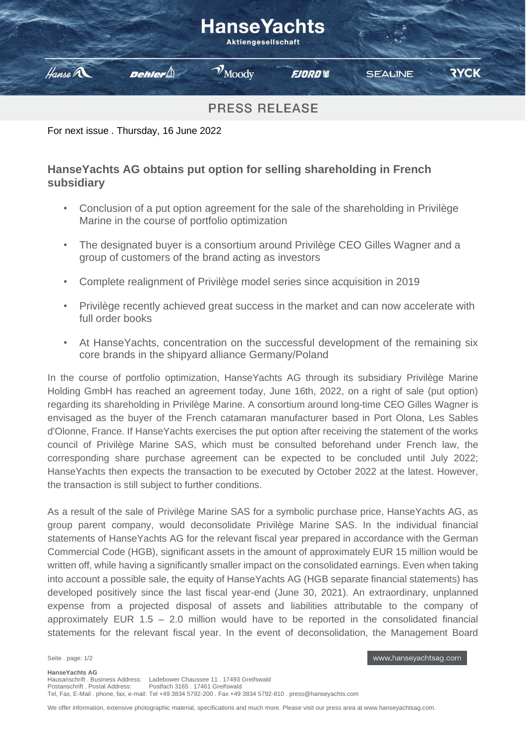# **HanseYachts**

**Aktiengesellschaft** 



 $\mathcal{V}_{\text{Mody}}$ 

**FJORD W** 

**RYCK** 

**PRESS RELEASE** 

For next issue . Thursday, 16 June 2022

Dehler $\bigtriangleup$ 

## **HanseYachts AG obtains put option for selling shareholding in French subsidiary**

- Conclusion of a put option agreement for the sale of the shareholding in Privilège Marine in the course of portfolio optimization
- The designated buyer is a consortium around Privilège CEO Gilles Wagner and a group of customers of the brand acting as investors
- Complete realignment of Privilège model series since acquisition in 2019
- Privilège recently achieved great success in the market and can now accelerate with full order books
- At HanseYachts, concentration on the successful development of the remaining six core brands in the shipyard alliance Germany/Poland

In the course of portfolio optimization, HanseYachts AG through its subsidiary Privilège Marine Holding GmbH has reached an agreement today, June 16th, 2022, on a right of sale (put option) regarding its shareholding in Privilège Marine. A consortium around long-time CEO Gilles Wagner is envisaged as the buyer of the French catamaran manufacturer based in Port Olona, Les Sables d'Olonne, France. If HanseYachts exercises the put option after receiving the statement of the works council of Privilège Marine SAS, which must be consulted beforehand under French law, the corresponding share purchase agreement can be expected to be concluded until July 2022; HanseYachts then expects the transaction to be executed by October 2022 at the latest. However, the transaction is still subject to further conditions.

As a result of the sale of Privilège Marine SAS for a symbolic purchase price, HanseYachts AG, as group parent company, would deconsolidate Privilège Marine SAS. In the individual financial statements of HanseYachts AG for the relevant fiscal year prepared in accordance with the German Commercial Code (HGB), significant assets in the amount of approximately EUR 15 million would be written off, while having a significantly smaller impact on the consolidated earnings. Even when taking into account a possible sale, the equity of HanseYachts AG (HGB separate financial statements) has developed positively since the last fiscal year-end (June 30, 2021). An extraordinary, unplanned expense from a projected disposal of assets and liabilities attributable to the company of approximately EUR 1.5 – 2.0 million would have to be reported in the consolidated financial statements for the relevant fiscal year. In the event of deconsolidation, the Management Board

Seite . page: 1/2

www.hanseyachtsag.com